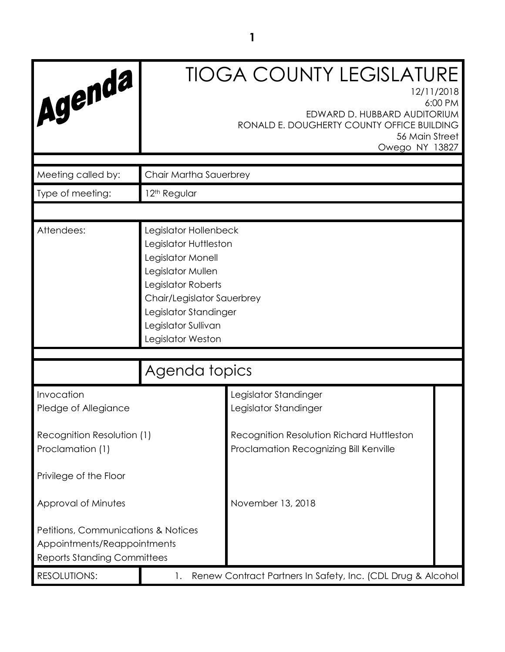| Agenda                                                                                                   |                                                                                                                                                                                                                   | <b>TIOGA COUNTY LEGISLATURE</b><br>12/11/2018<br>EDWARD D. HUBBARD AUDITORIUM<br>RONALD E. DOUGHERTY COUNTY OFFICE BUILDING<br>56 Main Street<br>Owego NY 13827 | 6:00 PM |
|----------------------------------------------------------------------------------------------------------|-------------------------------------------------------------------------------------------------------------------------------------------------------------------------------------------------------------------|-----------------------------------------------------------------------------------------------------------------------------------------------------------------|---------|
| Meeting called by:                                                                                       | Chair Martha Sauerbrey                                                                                                                                                                                            |                                                                                                                                                                 |         |
| Type of meeting:                                                                                         | 12 <sup>th</sup> Regular                                                                                                                                                                                          |                                                                                                                                                                 |         |
|                                                                                                          |                                                                                                                                                                                                                   |                                                                                                                                                                 |         |
| Attendees:                                                                                               | Legislator Hollenbeck<br>Legislator Huttleston<br>Legislator Monell<br>Legislator Mullen<br>Legislator Roberts<br>Chair/Legislator Sauerbrey<br>Legislator Standinger<br>Legislator Sullivan<br>Legislator Weston |                                                                                                                                                                 |         |
|                                                                                                          |                                                                                                                                                                                                                   |                                                                                                                                                                 |         |
|                                                                                                          | Agenda topics                                                                                                                                                                                                     |                                                                                                                                                                 |         |
| Invocation<br>Pledge of Allegiance                                                                       |                                                                                                                                                                                                                   | Legislator Standinger<br>Legislator Standinger                                                                                                                  |         |
| Recognition Resolution (1)<br>Proclamation (1)                                                           |                                                                                                                                                                                                                   | Recognition Resolution Richard Huttleston<br>Proclamation Recognizing Bill Kenville                                                                             |         |
| Privilege of the Floor                                                                                   |                                                                                                                                                                                                                   |                                                                                                                                                                 |         |
| Approval of Minutes                                                                                      |                                                                                                                                                                                                                   | November 13, 2018                                                                                                                                               |         |
| Petitions, Communications & Notices<br>Appointments/Reappointments<br><b>Reports Standing Committees</b> |                                                                                                                                                                                                                   |                                                                                                                                                                 |         |
| <b>RESOLUTIONS:</b>                                                                                      | Renew Contract Partners In Safety, Inc. (CDL Drug & Alcohol<br>1.                                                                                                                                                 |                                                                                                                                                                 |         |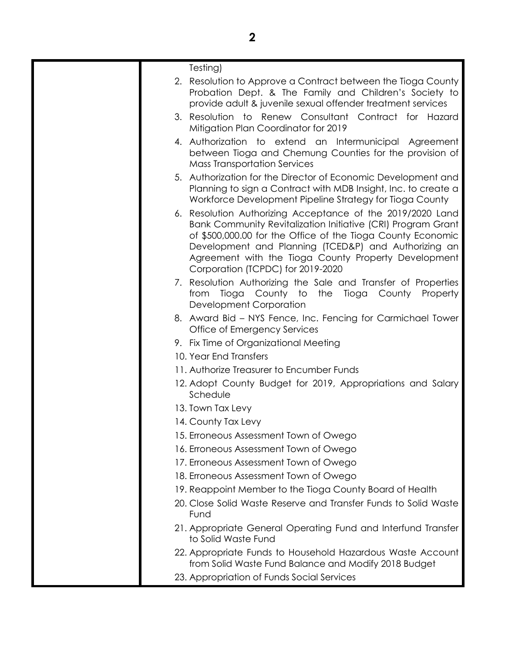| Testing)                                                                                                                                                                                                                                                                                                                                       |
|------------------------------------------------------------------------------------------------------------------------------------------------------------------------------------------------------------------------------------------------------------------------------------------------------------------------------------------------|
| 2. Resolution to Approve a Contract between the Tioga County<br>Probation Dept. & The Family and Children's Society to<br>provide adult & juvenile sexual offender treatment services                                                                                                                                                          |
| 3. Resolution to Renew Consultant Contract for Hazard<br>Mitigation Plan Coordinator for 2019                                                                                                                                                                                                                                                  |
| 4. Authorization to extend an Intermunicipal Agreement<br>between Tioga and Chemung Counties for the provision of<br><b>Mass Transportation Services</b>                                                                                                                                                                                       |
| 5. Authorization for the Director of Economic Development and<br>Planning to sign a Contract with MDB Insight, Inc. to create a<br>Workforce Development Pipeline Strategy for Tioga County                                                                                                                                                    |
| 6. Resolution Authorizing Acceptance of the 2019/2020 Land<br>Bank Community Revitalization Initiative (CRI) Program Grant<br>of \$500,000.00 for the Office of the Tioga County Economic<br>Development and Planning (TCED&P) and Authorizing an<br>Agreement with the Tioga County Property Development<br>Corporation (TCPDC) for 2019-2020 |
| 7. Resolution Authorizing the Sale and Transfer of Properties<br>from Tioga County to<br>the Tioga County<br>Property<br>Development Corporation                                                                                                                                                                                               |
| 8. Award Bid – NYS Fence, Inc. Fencing for Carmichael Tower<br>Office of Emergency Services                                                                                                                                                                                                                                                    |
| 9. Fix Time of Organizational Meeting                                                                                                                                                                                                                                                                                                          |
| 10. Year End Transfers                                                                                                                                                                                                                                                                                                                         |
| 11. Authorize Treasurer to Encumber Funds                                                                                                                                                                                                                                                                                                      |
| 12. Adopt County Budget for 2019, Appropriations and Salary<br>Schedule                                                                                                                                                                                                                                                                        |
| 13. Town Tax Levy                                                                                                                                                                                                                                                                                                                              |
| 14. County Tax Levy                                                                                                                                                                                                                                                                                                                            |
| 15. Erroneous Assessment Town of Owego                                                                                                                                                                                                                                                                                                         |
| 16. Erroneous Assessment Town of Owego                                                                                                                                                                                                                                                                                                         |
| 17. Erroneous Assessment Town of Owego                                                                                                                                                                                                                                                                                                         |
| 18. Erroneous Assessment Town of Owego                                                                                                                                                                                                                                                                                                         |
| 19. Reappoint Member to the Tioga County Board of Health                                                                                                                                                                                                                                                                                       |
| 20. Close Solid Waste Reserve and Transfer Funds to Solid Waste<br>Fund                                                                                                                                                                                                                                                                        |
| 21. Appropriate General Operating Fund and Interfund Transfer<br>to Solid Waste Fund                                                                                                                                                                                                                                                           |
| 22. Appropriate Funds to Household Hazardous Waste Account<br>from Solid Waste Fund Balance and Modify 2018 Budget                                                                                                                                                                                                                             |
| 23. Appropriation of Funds Social Services                                                                                                                                                                                                                                                                                                     |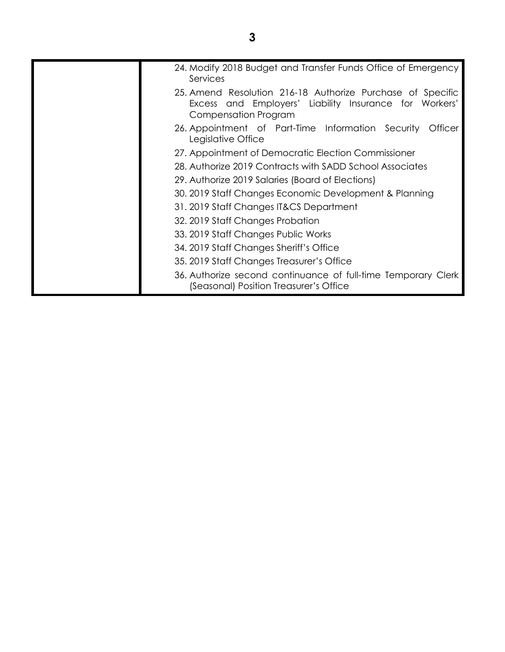| 24. Modify 2018 Budget and Transfer Funds Office of Emergency<br>Services                                                                    |
|----------------------------------------------------------------------------------------------------------------------------------------------|
| 25. Amend Resolution 216-18 Authorize Purchase of Specific<br>Excess and Employers' Liability Insurance for Workers'<br>Compensation Program |
| 26. Appointment of Part-Time Information Security<br>Otticer<br>Legislative Office                                                           |
| 27. Appointment of Democratic Election Commissioner                                                                                          |
| 28. Authorize 2019 Contracts with SADD School Associates                                                                                     |
| 29. Authorize 2019 Salaries (Board of Elections)                                                                                             |
| 30. 2019 Staff Changes Economic Development & Planning                                                                                       |
| 31. 2019 Staff Changes IT&CS Department                                                                                                      |
| 32. 2019 Staff Changes Probation                                                                                                             |
| 33. 2019 Staff Changes Public Works                                                                                                          |
| 34. 2019 Staff Changes Sheriff's Office                                                                                                      |
| 35. 2019 Staff Changes Treasurer's Office                                                                                                    |
| 36. Authorize second continuance of full-time Temporary Clerk<br>(Seasonal) Position Treasurer's Office                                      |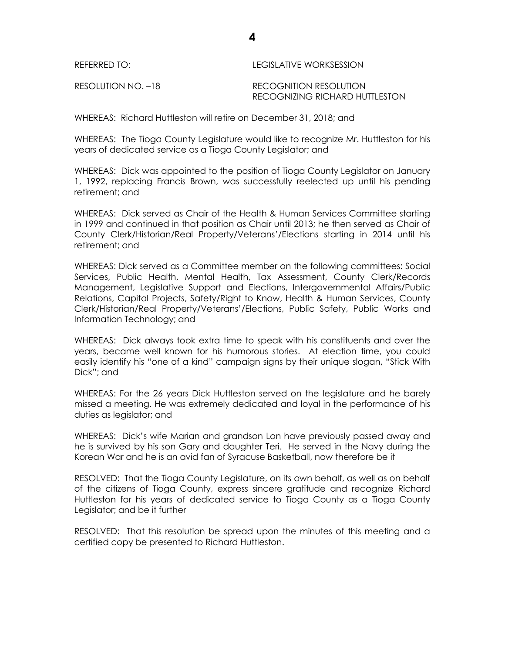| REFERRED TO:       | LEGISLATIVE WORKSESSION        |
|--------------------|--------------------------------|
| RESOLUTION NO. -18 | RECOGNITION RESOLUTION         |
|                    | RECOGNIZING RICHARD HUTTLESTON |

WHEREAS: Richard Huttleston will retire on December 31, 2018; and

WHEREAS: The Tioga County Legislature would like to recognize Mr. Huttleston for his years of dedicated service as a Tioga County Legislator; and

WHEREAS: Dick was appointed to the position of Tioga County Legislator on January 1, 1992, replacing Francis Brown, was successfully reelected up until his pending retirement; and

WHEREAS: Dick served as Chair of the Health & Human Services Committee starting in 1999 and continued in that position as Chair until 2013; he then served as Chair of County Clerk/Historian/Real Property/Veterans'/Elections starting in 2014 until his retirement; and

WHEREAS: Dick served as a Committee member on the following committees: Social Services, Public Health, Mental Health, Tax Assessment, County Clerk/Records Management, Legislative Support and Elections, Intergovernmental Affairs/Public Relations, Capital Projects, Safety/Right to Know, Health & Human Services, County Clerk/Historian/Real Property/Veterans'/Elections, Public Safety, Public Works and Information Technology; and

WHEREAS: Dick always took extra time to speak with his constituents and over the years, became well known for his humorous stories. At election time, you could easily identify his "one of a kind" campaign signs by their unique slogan, "Stick With Dick"; and

WHEREAS: For the 26 years Dick Huttleston served on the legislature and he barely missed a meeting. He was extremely dedicated and loyal in the performance of his duties as legislator; and

WHEREAS: Dick's wife Marian and grandson Lon have previously passed away and he is survived by his son Gary and daughter Teri. He served in the Navy during the Korean War and he is an avid fan of Syracuse Basketball, now therefore be it

RESOLVED: That the Tioga County Legislature, on its own behalf, as well as on behalf of the citizens of Tioga County, express sincere gratitude and recognize Richard Huttleston for his years of dedicated service to Tioga County as a Tioga County Legislator; and be it further

RESOLVED: That this resolution be spread upon the minutes of this meeting and a certified copy be presented to Richard Huttleston.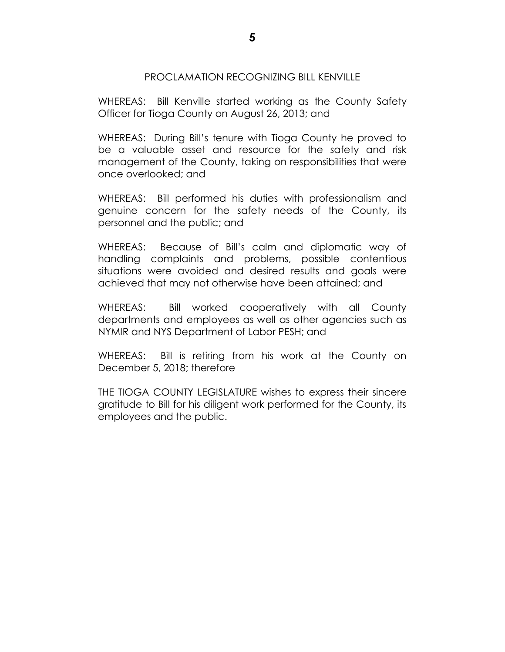### PROCLAMATION RECOGNIZING BILL KENVILLE

WHEREAS: Bill Kenville started working as the County Safety Officer for Tioga County on August 26, 2013; and

WHEREAS: During Bill's tenure with Tioga County he proved to be a valuable asset and resource for the safety and risk management of the County, taking on responsibilities that were once overlooked; and

WHEREAS: Bill performed his duties with professionalism and genuine concern for the safety needs of the County, its personnel and the public; and

WHEREAS: Because of Bill's calm and diplomatic way of handling complaints and problems, possible contentious situations were avoided and desired results and goals were achieved that may not otherwise have been attained; and

WHEREAS: Bill worked cooperatively with all County departments and employees as well as other agencies such as NYMIR and NYS Department of Labor PESH; and

WHEREAS: Bill is retiring from his work at the County on December 5, 2018; therefore

THE TIOGA COUNTY LEGISLATURE wishes to express their sincere gratitude to Bill for his diligent work performed for the County, its employees and the public.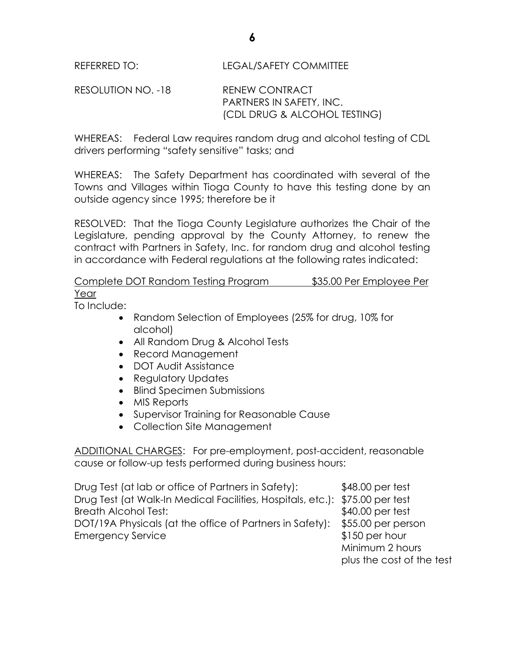REFERRED TO: LEGAL/SAFETY COMMITTEE

RESOLUTION NO. -18 RENEW CONTRACT PARTNERS IN SAFETY, INC. (CDL DRUG & ALCOHOL TESTING)

WHEREAS: Federal Law requires random drug and alcohol testing of CDL drivers performing "safety sensitive" tasks; and

WHEREAS: The Safety Department has coordinated with several of the Towns and Villages within Tioga County to have this testing done by an outside agency since 1995; therefore be it

RESOLVED: That the Tioga County Legislature authorizes the Chair of the Legislature, pending approval by the County Attorney, to renew the contract with Partners in Safety, Inc. for random drug and alcohol testing in accordance with Federal regulations at the following rates indicated:

Complete DOT Random Testing Program \$35.00 Per Employee Per Year

To Include:

- Random Selection of Employees (25% for drug, 10% for alcohol)
- All Random Drug & Alcohol Tests
- Record Management
- DOT Audit Assistance
- Regulatory Updates
- Blind Specimen Submissions
- MIS Reports
- Supervisor Training for Reasonable Cause
- Collection Site Management

ADDITIONAL CHARGES: For pre-employment, post-accident, reasonable cause or follow-up tests performed during business hours:

Drug Test (at lab or office of Partners in Safety): \$48.00 per test Drug Test (at Walk-In Medical Facilities, Hospitals, etc.): \$75.00 per test Breath Alcohol Test:  $$40.00$  per test DOT/19A Physicals (at the office of Partners in Safety): \$55.00 per person Emergency Service **\$150 per hour** 

Minimum 2 hours plus the cost of the test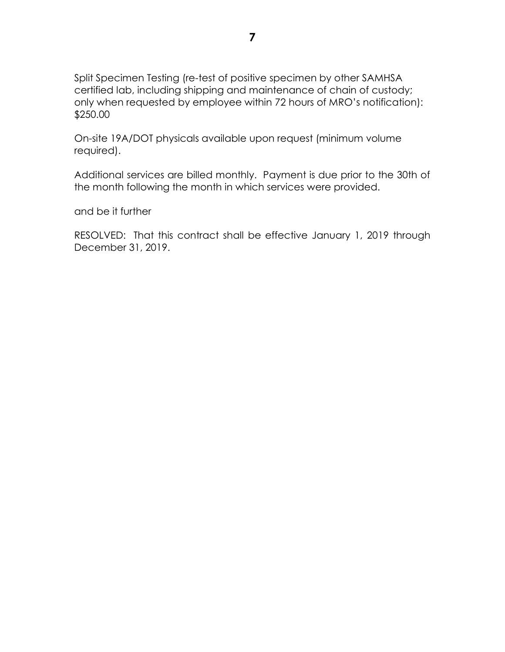Split Specimen Testing (re-test of positive specimen by other SAMHSA certified lab, including shipping and maintenance of chain of custody; only when requested by employee within 72 hours of MRO's notification): \$250.00

On-site 19A/DOT physicals available upon request (minimum volume required).

Additional services are billed monthly. Payment is due prior to the 30th of the month following the month in which services were provided.

and be it further

RESOLVED: That this contract shall be effective January 1, 2019 through December 31, 2019.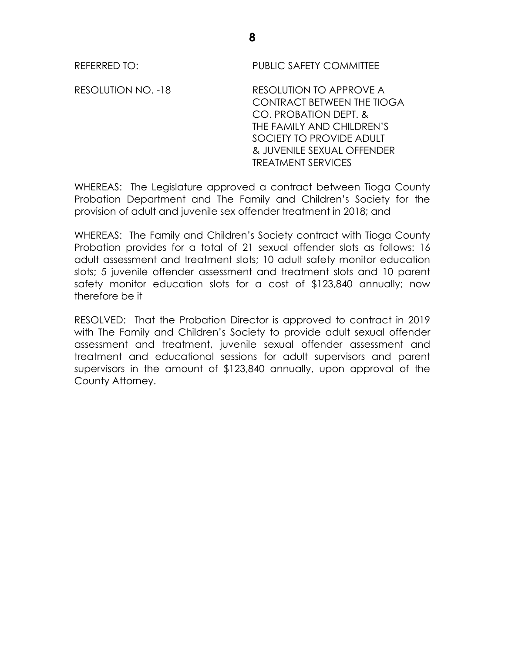REFERRED TO: PUBLIC SAFETY COMMITTEE

RESOLUTION NO. -18 RESOLUTION TO APPROVE A CONTRACT BETWEEN THE TIOGA CO. PROBATION DEPT. & THE FAMILY AND CHILDREN'S SOCIETY TO PROVIDE ADULT & JUVENILE SEXUAL OFFENDER TREATMENT SERVICES

WHEREAS: The Legislature approved a contract between Tioga County Probation Department and The Family and Children's Society for the provision of adult and juvenile sex offender treatment in 2018; and

WHEREAS: The Family and Children's Society contract with Tioga County Probation provides for a total of 21 sexual offender slots as follows: 16 adult assessment and treatment slots; 10 adult safety monitor education slots; 5 juvenile offender assessment and treatment slots and 10 parent safety monitor education slots for a cost of \$123,840 annually; now therefore be it

RESOLVED: That the Probation Director is approved to contract in 2019 with The Family and Children's Society to provide adult sexual offender assessment and treatment, juvenile sexual offender assessment and treatment and educational sessions for adult supervisors and parent supervisors in the amount of \$123,840 annually, upon approval of the County Attorney.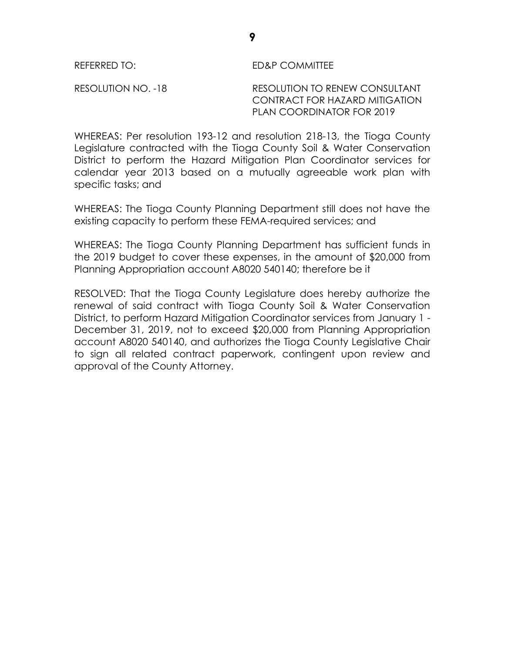### REFERRED TO: ED&P COMMITTEE

RESOLUTION NO. -18 RESOLUTION TO RENEW CONSULTANT CONTRACT FOR HAZARD MITIGATION PLAN COORDINATOR FOR 2019

WHEREAS: Per resolution 193-12 and resolution 218-13, the Tioga County Legislature contracted with the Tioga County Soil & Water Conservation District to perform the Hazard Mitigation Plan Coordinator services for calendar year 2013 based on a mutually agreeable work plan with specific tasks; and

WHEREAS: The Tioga County Planning Department still does not have the existing capacity to perform these FEMA-required services; and

WHEREAS: The Tioga County Planning Department has sufficient funds in the 2019 budget to cover these expenses, in the amount of \$20,000 from Planning Appropriation account A8020 540140; therefore be it

RESOLVED: That the Tioga County Legislature does hereby authorize the renewal of said contract with Tioga County Soil & Water Conservation District, to perform Hazard Mitigation Coordinator services from January 1 - December 31, 2019, not to exceed \$20,000 from Planning Appropriation account A8020 540140, and authorizes the Tioga County Legislative Chair to sign all related contract paperwork, contingent upon review and approval of the County Attorney.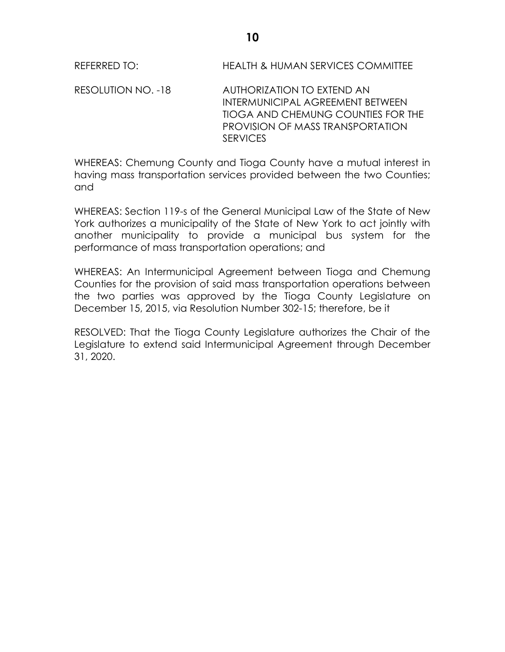REFERRED TO: **HEALTH & HUMAN SERVICES COMMITTEE** 

RESOLUTION NO. -18 AUTHORIZATION TO EXTEND AN INTERMUNICIPAL AGREEMENT BETWEEN TIOGA AND CHEMUNG COUNTIES FOR THE PROVISION OF MASS TRANSPORTATION **SERVICES** 

WHEREAS: Chemung County and Tioga County have a mutual interest in having mass transportation services provided between the two Counties; and

WHEREAS: Section 119-s of the General Municipal Law of the State of New York authorizes a municipality of the State of New York to act jointly with another municipality to provide a municipal bus system for the performance of mass transportation operations; and

WHEREAS: An Intermunicipal Agreement between Tioga and Chemung Counties for the provision of said mass transportation operations between the two parties was approved by the Tioga County Legislature on December 15, 2015, via Resolution Number 302-15; therefore, be it

RESOLVED: That the Tioga County Legislature authorizes the Chair of the Legislature to extend said Intermunicipal Agreement through December 31, 2020.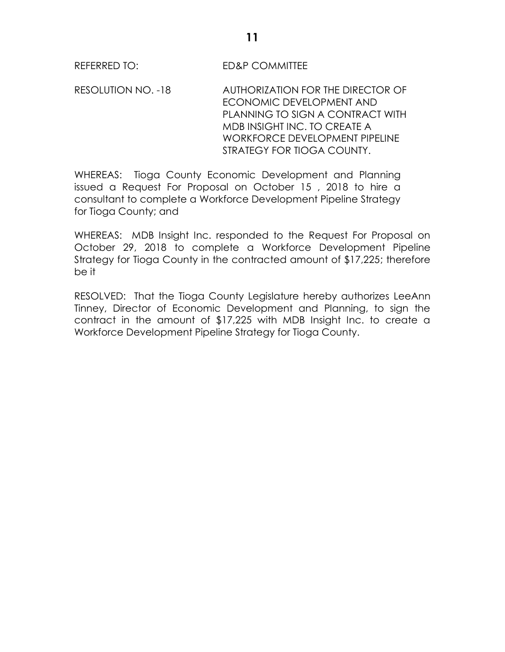REFERRED TO: ED&P COMMITTEE

RESOLUTION NO. -18 AUTHORIZATION FOR THE DIRECTOR OF ECONOMIC DEVELOPMENT AND PLANNING TO SIGN A CONTRACT WITH MDB INSIGHT INC. TO CREATE A WORKFORCE DEVELOPMENT PIPELINE STRATEGY FOR TIOGA COUNTY.

WHEREAS: Tioga County Economic Development and Planning issued a Request For Proposal on October 15 , 2018 to hire a consultant to complete a Workforce Development Pipeline Strategy for Tioga County; and

WHEREAS: MDB Insight Inc. responded to the Request For Proposal on October 29, 2018 to complete a Workforce Development Pipeline Strategy for Tioga County in the contracted amount of \$17,225; therefore be it

RESOLVED: That the Tioga County Legislature hereby authorizes LeeAnn Tinney, Director of Economic Development and Planning, to sign the contract in the amount of \$17,225 with MDB Insight Inc. to create a Workforce Development Pipeline Strategy for Tioga County.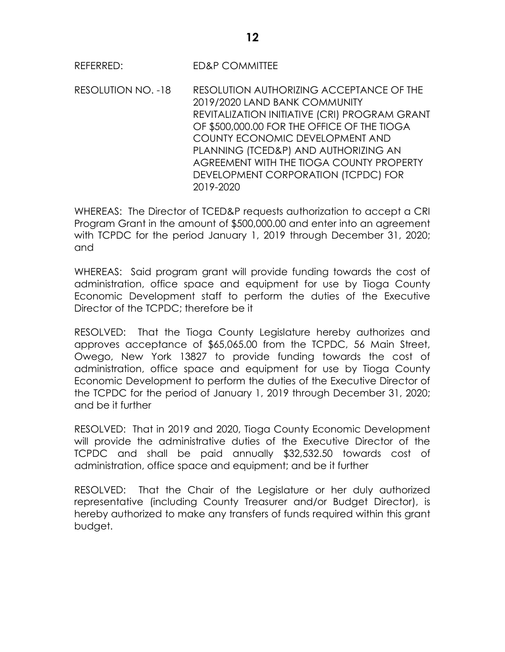REFERRED: ED&P COMMITTEE

RESOLUTION NO. -18 RESOLUTION AUTHORIZING ACCEPTANCE OF THE 2019/2020 LAND BANK COMMUNITY REVITALIZATION INITIATIVE (CRI) PROGRAM GRANT OF \$500,000.00 FOR THE OFFICE OF THE TIOGA COUNTY ECONOMIC DEVELOPMENT AND PLANNING (TCED&P) AND AUTHORIZING AN AGREEMENT WITH THE TIOGA COUNTY PROPERTY DEVELOPMENT CORPORATION (TCPDC) FOR 2019-2020

WHEREAS: The Director of TCED&P requests authorization to accept a CRI Program Grant in the amount of \$500,000.00 and enter into an agreement with TCPDC for the period January 1, 2019 through December 31, 2020; and

WHEREAS: Said program grant will provide funding towards the cost of administration, office space and equipment for use by Tioga County Economic Development staff to perform the duties of the Executive Director of the TCPDC; therefore be it

RESOLVED: That the Tioga County Legislature hereby authorizes and approves acceptance of \$65,065.00 from the TCPDC, 56 Main Street, Owego, New York 13827 to provide funding towards the cost of administration, office space and equipment for use by Tioga County Economic Development to perform the duties of the Executive Director of the TCPDC for the period of January 1, 2019 through December 31, 2020; and be it further

RESOLVED: That in 2019 and 2020, Tioga County Economic Development will provide the administrative duties of the Executive Director of the TCPDC and shall be paid annually \$32,532.50 towards cost of administration, office space and equipment; and be it further

RESOLVED: That the Chair of the Legislature or her duly authorized representative (including County Treasurer and/or Budget Director), is hereby authorized to make any transfers of funds required within this grant budget.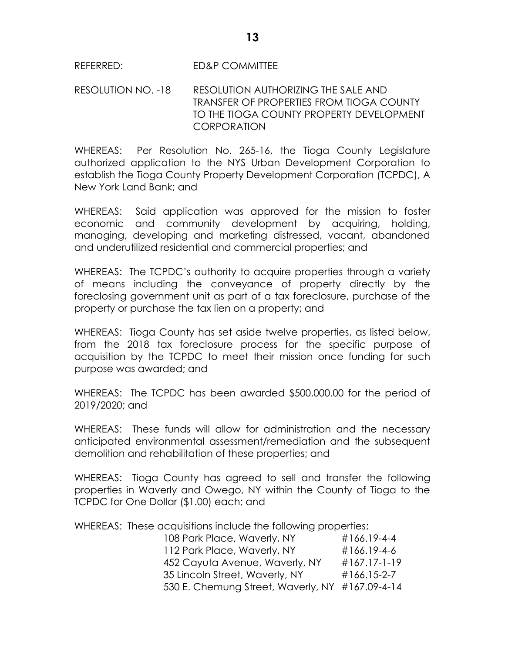### REFERRED: ED&P COMMITTEE

RESOLUTION NO. -18 RESOLUTION AUTHORIZING THE SALE AND TRANSFER OF PROPERTIES FROM TIOGA COUNTY TO THE TIOGA COUNTY PROPERTY DEVELOPMENT **CORPORATION** 

WHEREAS: Per Resolution No. 265-16, the Tioga County Legislature authorized application to the NYS Urban Development Corporation to establish the Tioga County Property Development Corporation (TCPDC), A New York Land Bank; and

WHEREAS: Said application was approved for the mission to foster economic and community development by acquiring, holding, managing, developing and marketing distressed, vacant, abandoned and underutilized residential and commercial properties; and

WHEREAS: The TCPDC's authority to acquire properties through a variety of means including the conveyance of property directly by the foreclosing government unit as part of a tax foreclosure, purchase of the property or purchase the tax lien on a property; and

WHEREAS: Tioga County has set aside twelve properties, as listed below, from the 2018 tax foreclosure process for the specific purpose of acquisition by the TCPDC to meet their mission once funding for such purpose was awarded; and

WHEREAS: The TCPDC has been awarded \$500,000.00 for the period of 2019/2020; and

WHEREAS: These funds will allow for administration and the necessary anticipated environmental assessment/remediation and the subsequent demolition and rehabilitation of these properties; and

WHEREAS: Tioga County has agreed to sell and transfer the following properties in Waverly and Owego, NY within the County of Tioga to the TCPDC for One Dollar (\$1.00) each; and

WHEREAS: These acquisitions include the following properties;

| 108 Park Place, Waverly, NY                     | #166.19-4-4     |
|-------------------------------------------------|-----------------|
| 112 Park Place, Waverly, NY                     | #166.19-4-6     |
| 452 Cayuta Avenue, Waverly, NY                  | $\#167.17-1-19$ |
| 35 Lincoln Street, Waverly, NY                  | #166.15-2-7     |
| 530 E. Chemung Street, Waverly, NY #167.09-4-14 |                 |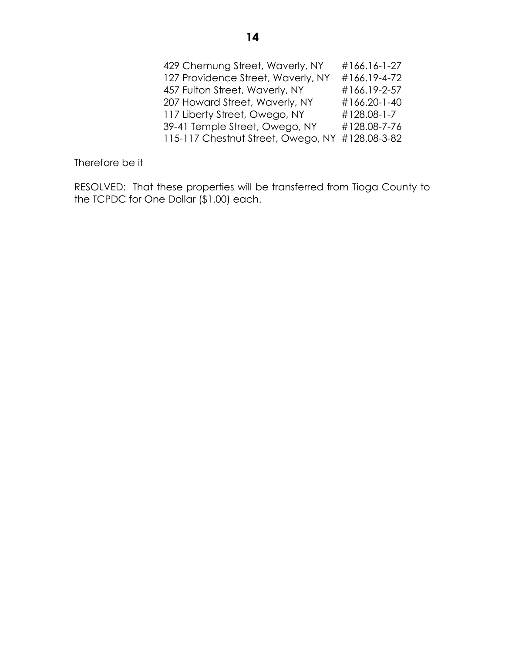| 429 Chemung Street, Waverly, NY    | #166.16-1-27 |
|------------------------------------|--------------|
| 127 Providence Street, Waverly, NY | #166.19-4-72 |
| 457 Fulton Street, Waverly, NY     | #166.19-2-57 |
| 207 Howard Street, Waverly, NY     | #166.20-1-40 |
| 117 Liberty Street, Owego, NY      | #128.08-1-7  |
| 39-41 Temple Street, Owego, NY     | #128.08-7-76 |
| 115-117 Chestnut Street, Owego, NY | #128.08-3-82 |

Therefore be it

RESOLVED: That these properties will be transferred from Tioga County to the TCPDC for One Dollar (\$1.00) each.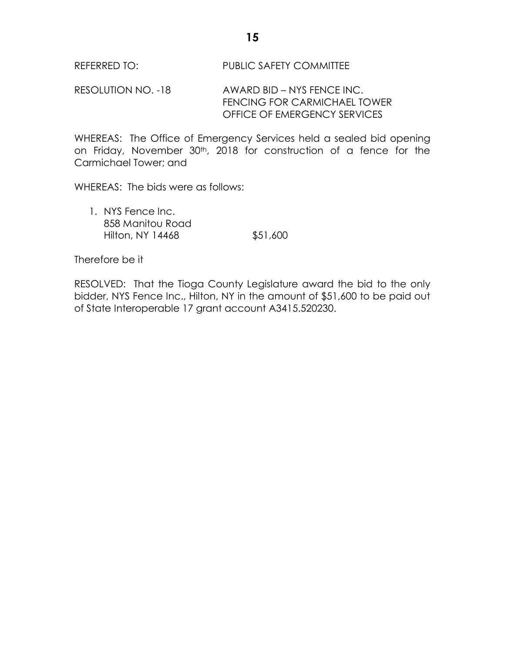RESOLUTION NO. -18 AWARD BID – NYS FENCE INC. FENCING FOR CARMICHAEL TOWER OFFICE OF EMERGENCY SERVICES

WHEREAS: The Office of Emergency Services held a sealed bid opening on Friday, November 30th, 2018 for construction of a fence for the Carmichael Tower; and

WHEREAS: The bids were as follows:

1. NYS Fence Inc. 858 Manitou Road Hilton, NY 14468 \$51,600

Therefore be it

RESOLVED: That the Tioga County Legislature award the bid to the only bidder, NYS Fence Inc., Hilton, NY in the amount of \$51,600 to be paid out of State Interoperable 17 grant account A3415.520230.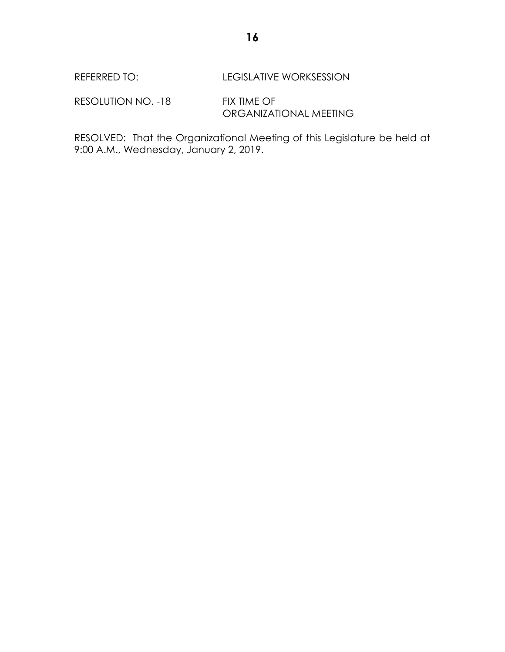REFERRED TO: LEGISLATIVE WORKSESSION

RESOLUTION NO. -18 FIX TIME OF ORGANIZATIONAL MEETING

RESOLVED: That the Organizational Meeting of this Legislature be held at 9:00 A.M., Wednesday, January 2, 2019.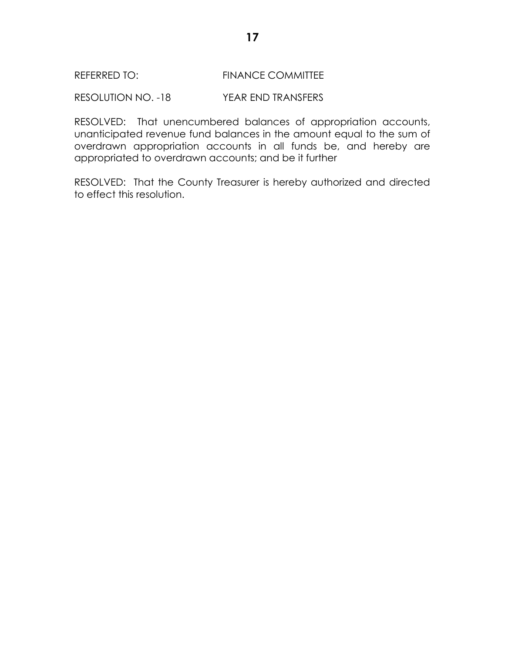RESOLUTION NO. -18 YEAR END TRANSFERS

RESOLVED: That unencumbered balances of appropriation accounts, unanticipated revenue fund balances in the amount equal to the sum of overdrawn appropriation accounts in all funds be, and hereby are appropriated to overdrawn accounts; and be it further

RESOLVED: That the County Treasurer is hereby authorized and directed to effect this resolution.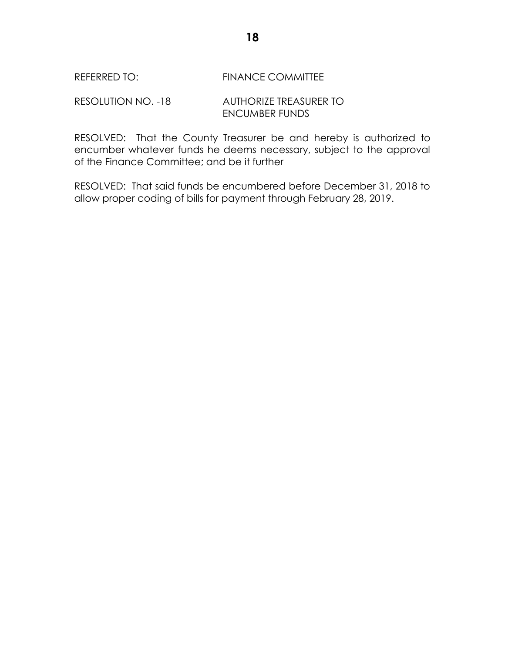RESOLUTION NO. -18 AUTHORIZE TREASURER TO ENCUMBER FUNDS

RESOLVED: That the County Treasurer be and hereby is authorized to encumber whatever funds he deems necessary, subject to the approval of the Finance Committee; and be it further

RESOLVED: That said funds be encumbered before December 31, 2018 to allow proper coding of bills for payment through February 28, 2019.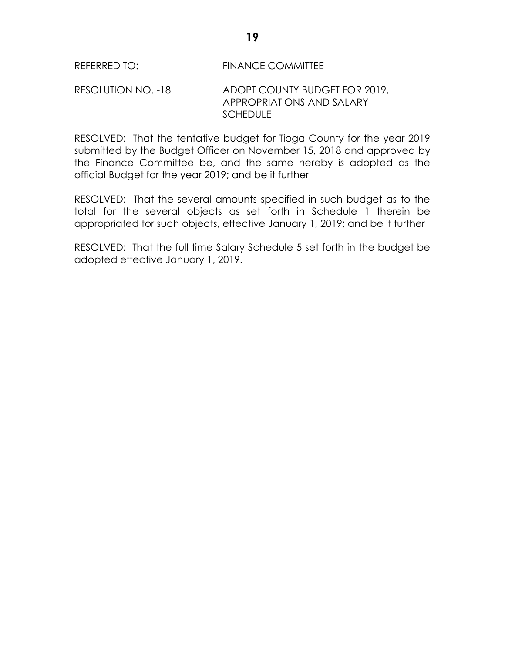### RESOLUTION NO. -18 ADOPT COUNTY BUDGET FOR 2019, APPROPRIATIONS AND SALARY SCHEDULE

RESOLVED: That the tentative budget for Tioga County for the year 2019 submitted by the Budget Officer on November 15, 2018 and approved by the Finance Committee be, and the same hereby is adopted as the official Budget for the year 2019; and be it further

RESOLVED: That the several amounts specified in such budget as to the total for the several objects as set forth in Schedule 1 therein be appropriated for such objects, effective January 1, 2019; and be it further

RESOLVED: That the full time Salary Schedule 5 set forth in the budget be adopted effective January 1, 2019.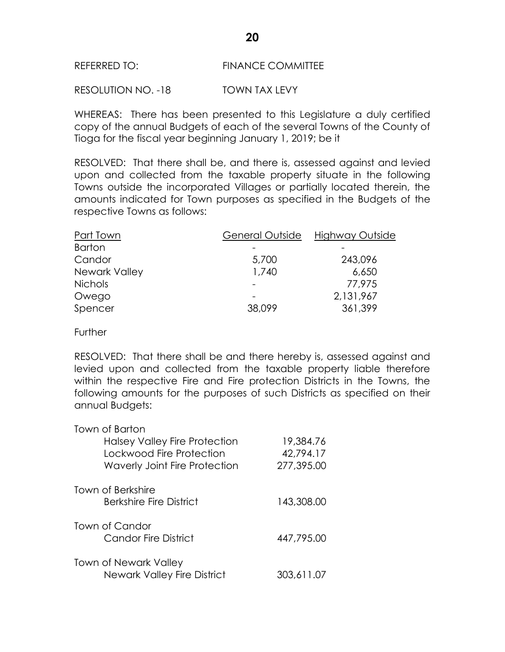RESOLUTION NO. -18 TOWN TAX LEVY

WHEREAS: There has been presented to this Legislature a duly certified copy of the annual Budgets of each of the several Towns of the County of Tioga for the fiscal year beginning January 1, 2019; be it

RESOLVED: That there shall be, and there is, assessed against and levied upon and collected from the taxable property situate in the following Towns outside the incorporated Villages or partially located therein, the amounts indicated for Town purposes as specified in the Budgets of the respective Towns as follows:

| Part Town      | General Outside | Highway Outside |
|----------------|-----------------|-----------------|
| <b>Barton</b>  |                 |                 |
| Candor         | 5,700           | 243,096         |
| Newark Valley  | 1,740           | 6,650           |
| <b>Nichols</b> |                 | 77,975          |
| Owego          |                 | 2,131,967       |
| Spencer        | 38,099          | 361,399         |

**Further** 

RESOLVED: That there shall be and there hereby is, assessed against and levied upon and collected from the taxable property liable therefore within the respective Fire and Fire protection Districts in the Towns, the following amounts for the purposes of such Districts as specified on their annual Budgets:

| Town of Barton                       |            |
|--------------------------------------|------------|
| Halsey Valley Fire Protection        | 19,384.76  |
| Lockwood Fire Protection             | 42,794.17  |
| <b>Waverly Joint Fire Protection</b> | 277,395.00 |
| Town of Berkshire                    |            |
| <b>Berkshire Fire District</b>       | 143,308.00 |
| Town of Candor                       |            |
| Candor Fire District                 | 447,795,00 |
| <b>Town of Newark Valley</b>         |            |
| <b>Newark Valley Fire District</b>   | 303,611.07 |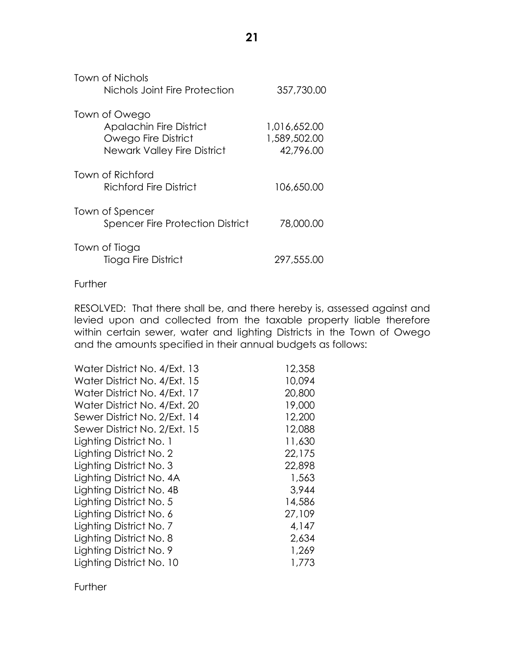| Town of Nichols<br>Nichols Joint Fire Protection                                                      | 357,730.00                                |
|-------------------------------------------------------------------------------------------------------|-------------------------------------------|
| Town of Owego<br><b>Apalachin Fire District</b><br>Owego Fire District<br>Newark Valley Fire District | 1,016,652.00<br>1,589,502.00<br>42,796.00 |
| Town of Richford<br>Richford Fire District                                                            | 106,650.00                                |
| Town of Spencer<br><b>Spencer Fire Protection District</b>                                            | 78,000.00                                 |
| Town of Tioga                                                                                         |                                           |

Tioga Fire District 297,555.00

### **Further**

RESOLVED: That there shall be, and there hereby is, assessed against and levied upon and collected from the taxable property liable therefore within certain sewer, water and lighting Districts in the Town of Owego and the amounts specified in their annual budgets as follows:

| Water District No. 4/Ext. 13 | 12,358 |
|------------------------------|--------|
| Water District No. 4/Ext. 15 | 10,094 |
| Water District No. 4/Ext. 17 | 20,800 |
| Water District No. 4/Ext. 20 | 19,000 |
| Sewer District No. 2/Ext. 14 | 12,200 |
| Sewer District No. 2/Ext. 15 | 12,088 |
| Lighting District No. 1      | 11,630 |
| Lighting District No. 2      | 22,175 |
| Lighting District No. 3      | 22,898 |
| Lighting District No. 4A     | 1,563  |
| Lighting District No. 4B     | 3,944  |
| Lighting District No. 5      | 14,586 |
| Lighting District No. 6      | 27,109 |
| Lighting District No. 7      | 4,147  |
| Lighting District No. 8      | 2,634  |
| Lighting District No. 9      | 1,269  |
| Lighting District No. 10     | 1,773  |

**Further**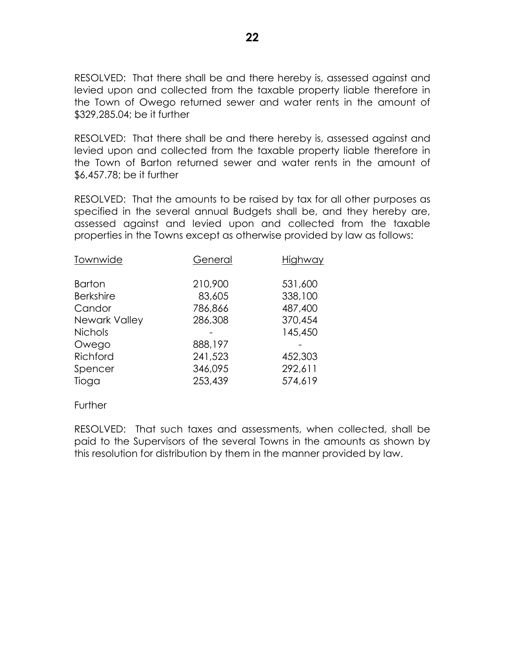RESOLVED: That there shall be and there hereby is, assessed against and levied upon and collected from the taxable property liable therefore in the Town of Owego returned sewer and water rents in the amount of \$329,285.04; be it further

RESOLVED: That there shall be and there hereby is, assessed against and levied upon and collected from the taxable property liable therefore in the Town of Barton returned sewer and water rents in the amount of \$6,457.78; be it further

RESOLVED: That the amounts to be raised by tax for all other purposes as specified in the several annual Budgets shall be, and they hereby are, assessed against and levied upon and collected from the taxable properties in the Towns except as otherwise provided by law as follows:

| Townwide         | General | Highway |
|------------------|---------|---------|
| <b>Barton</b>    | 210,900 | 531,600 |
| <b>Berkshire</b> | 83,605  | 338,100 |
| Candor           | 786,866 | 487,400 |
| Newark Valley    | 286,308 | 370,454 |
| <b>Nichols</b>   |         | 145,450 |
| Owego            | 888,197 |         |
| Richford         | 241,523 | 452,303 |
| Spencer          | 346,095 | 292,611 |
| Tioga            | 253,439 | 574,619 |
|                  |         |         |

**Further** 

RESOLVED: That such taxes and assessments, when collected, shall be paid to the Supervisors of the several Towns in the amounts as shown by this resolution for distribution by them in the manner provided by law.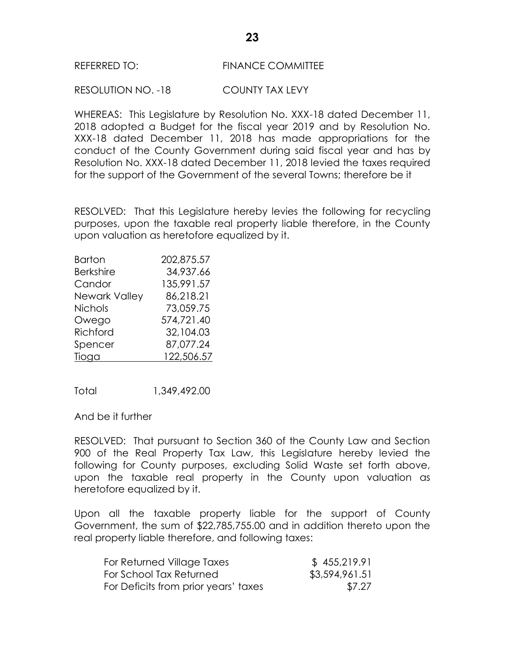RESOLUTION NO. -18 COUNTY TAX LEVY

WHEREAS: This Legislature by Resolution No. XXX-18 dated December 11, 2018 adopted a Budget for the fiscal year 2019 and by Resolution No. XXX-18 dated December 11, 2018 has made appropriations for the conduct of the County Government during said fiscal year and has by Resolution No. XXX-18 dated December 11, 2018 levied the taxes required for the support of the Government of the several Towns; therefore be it

RESOLVED: That this Legislature hereby levies the following for recycling purposes, upon the taxable real property liable therefore, in the County upon valuation as heretofore equalized by it.

| <b>Barton</b>    | 202,875.57 |
|------------------|------------|
| <b>Berkshire</b> | 34,937.66  |
| Candor           | 135,991.57 |
| Newark Valley    | 86,218.21  |
| <b>Nichols</b>   | 73,059.75  |
| Owego            | 574,721.40 |
| Richford         | 32,104.03  |
| Spencer          | 87,077.24  |
| Tioga            | 122,506.57 |

Total 1,349,492.00

And be it further

RESOLVED: That pursuant to Section 360 of the County Law and Section 900 of the Real Property Tax Law, this Legislature hereby levied the following for County purposes, excluding Solid Waste set forth above, upon the taxable real property in the County upon valuation as heretofore equalized by it.

Upon all the taxable property liable for the support of County Government, the sum of \$22,785,755.00 and in addition thereto upon the real property liable therefore, and following taxes:

| For Returned Village Taxes           | \$455,219.91   |
|--------------------------------------|----------------|
| For School Tax Returned              | \$3,594,961.51 |
| For Deficits from prior years' taxes | \$7.27         |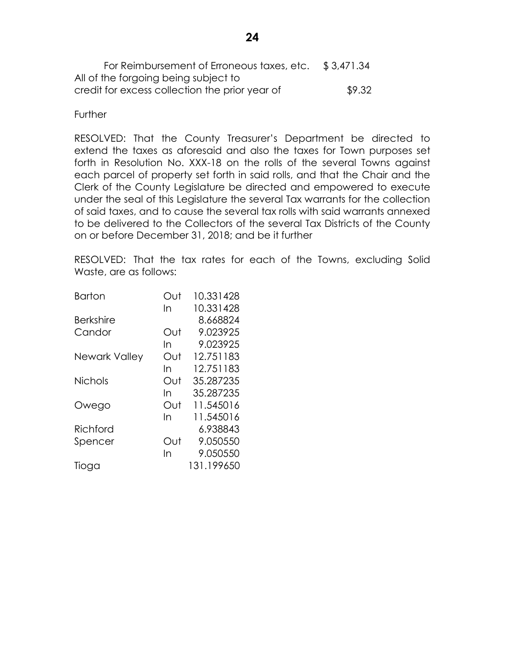For Reimbursement of Erroneous taxes, etc. \$ 3,471.34 All of the forgoing being subject to credit for excess collection the prior year of \$9.32

### **Further**

RESOLVED: That the County Treasurer's Department be directed to extend the taxes as aforesaid and also the taxes for Town purposes set forth in Resolution No. XXX-18 on the rolls of the several Towns against each parcel of property set forth in said rolls, and that the Chair and the Clerk of the County Legislature be directed and empowered to execute under the seal of this Legislature the several Tax warrants for the collection of said taxes, and to cause the several tax rolls with said warrants annexed to be delivered to the Collectors of the several Tax Districts of the County on or before December 31, 2018; and be it further

RESOLVED: That the tax rates for each of the Towns, excluding Solid Waste, are as follows:

| <b>Barton</b>    | Out | 10.331428  |
|------------------|-----|------------|
|                  | In  | 10.331428  |
| <b>Berkshire</b> |     | 8.668824   |
| Candor           | Out | 9.023925   |
|                  | In  | 9.023925   |
| Newark Valley    | Out | 12.751183  |
|                  | In  | 12.751183  |
| <b>Nichols</b>   | Out | 35.287235  |
|                  | In  | 35.287235  |
| Owego            | Out | 11.545016  |
|                  | In  | 11.545016  |
| Richford         |     | 6.938843   |
| Spencer          | Out | 9.050550   |
|                  | In  | 9.050550   |
| Tioga            |     | 131.199650 |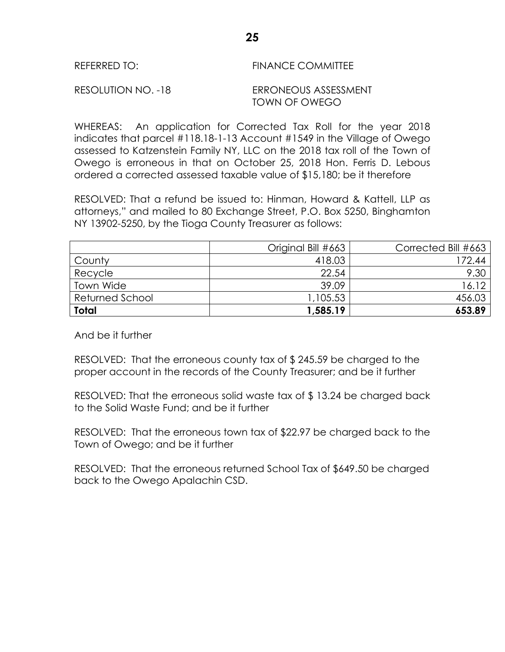| REFERRED TO: | <b>FINANCE COMMITTEE</b> |
|--------------|--------------------------|
|              |                          |

WHEREAS: An application for Corrected Tax Roll for the year 2018 indicates that parcel #118.18-1-13 Account #1549 in the Village of Owego assessed to Katzenstein Family NY, LLC on the 2018 tax roll of the Town of Owego is erroneous in that on October 25, 2018 Hon. Ferris D. Lebous ordered a corrected assessed taxable value of \$15,180; be it therefore

RESOLVED: That a refund be issued to: Hinman, Howard & Kattell, LLP as attorneys," and mailed to 80 Exchange Street, P.O. Box 5250, Binghamton NY 13902-5250, by the Tioga County Treasurer as follows:

| <b>Town Wide</b> | 39.09    | 16.12  |
|------------------|----------|--------|
| Returned School  | 1,105.53 | 456.03 |

And be it further

RESOLVED: That the erroneous county tax of \$ 245.59 be charged to the proper account in the records of the County Treasurer; and be it further

RESOLVED: That the erroneous solid waste tax of \$ 13.24 be charged back to the Solid Waste Fund; and be it further

RESOLVED: That the erroneous town tax of \$22.97 be charged back to the Town of Owego; and be it further

RESOLVED: That the erroneous returned School Tax of \$649.50 be charged back to the Owego Apalachin CSD.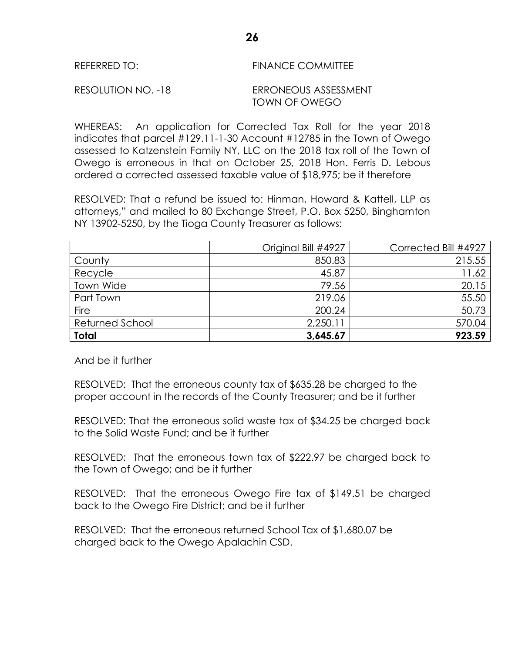| <b>FINANCE COMMITTEE</b><br>REFERRED TO: |
|------------------------------------------|
|------------------------------------------|

WHEREAS: An application for Corrected Tax Roll for the year 2018 indicates that parcel #129.11-1-30 Account #12785 in the Town of Owego assessed to Katzenstein Family NY, LLC on the 2018 tax roll of the Town of Owego is erroneous in that on October 25, 2018 Hon. Ferris D. Lebous ordered a corrected assessed taxable value of \$18,975; be it therefore

RESOLVED: That a refund be issued to: Hinman, Howard & Kattell, LLP as attorneys," and mailed to 80 Exchange Street, P.O. Box 5250, Binghamton NY 13902-5250, by the Tioga County Treasurer as follows:

|                 | Original Bill #4927 | Corrected Bill #4927 |
|-----------------|---------------------|----------------------|
| County          | 850.83              | 215.55               |
| Recycle         | 45.87               | 11.62                |
| Town Wide       | 79.56               | 20.15                |
| Part Town       | 219.06              | 55.50                |
| Fire            | 200.24              | 50.73                |
| Returned School | 2,250.11            | 570.04               |
| <b>Total</b>    | 3,645.67            | 923.59               |

And be it further

RESOLVED: That the erroneous county tax of \$635.28 be charged to the proper account in the records of the County Treasurer; and be it further

RESOLVED: That the erroneous solid waste tax of \$34.25 be charged back to the Solid Waste Fund; and be it further

RESOLVED: That the erroneous town tax of \$222.97 be charged back to the Town of Owego; and be it further

RESOLVED: That the erroneous Owego Fire tax of \$149.51 be charged back to the Owego Fire District; and be it further

RESOLVED: That the erroneous returned School Tax of \$1,680.07 be charged back to the Owego Apalachin CSD.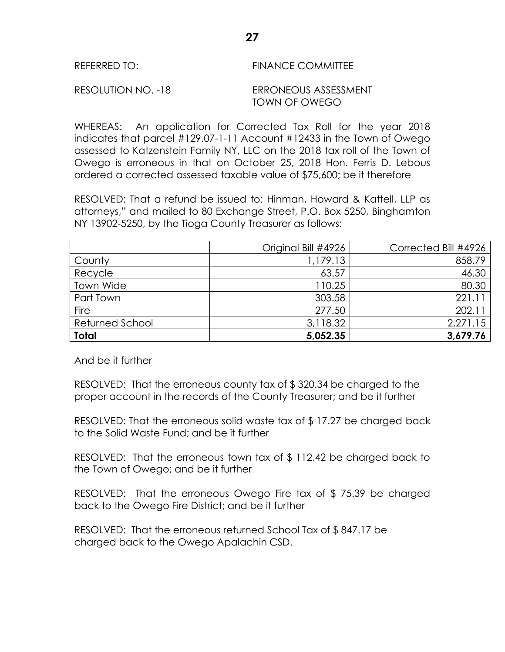| REFERRED TO: | <b>FINANCE COMMITTEE</b> |
|--------------|--------------------------|
|              |                          |

WHEREAS: An application for Corrected Tax Roll for the year 2018 indicates that parcel #129.07-1-11 Account #12433 in the Town of Owego assessed to Katzenstein Family NY, LLC on the 2018 tax roll of the Town of Owego is erroneous in that on October 25, 2018 Hon. Ferris D. Lebous ordered a corrected assessed taxable value of \$75,600; be it therefore

RESOLVED: That a refund be issued to: Hinman, Howard & Kattell, LLP as attorneys," and mailed to 80 Exchange Street, P.O. Box 5250, Binghamton NY 13902-5250, by the Tioga County Treasurer as follows:

|                 | Original Bill #4926 | Corrected Bill #4926 |
|-----------------|---------------------|----------------------|
| County          | 1,179.13            | 858.79               |
| Recycle         | 63.57               | 46.30                |
| Town Wide       | 110.25              | 80.30                |
| Part Town       | 303.58              | 221.1                |
| Fire            | 277.50              | 202.11               |
| Returned School | 3,118.32            | 2,271.15             |
| <b>Total</b>    | 5,052.35            | 3,679.76             |

And be it further

RESOLVED: That the erroneous county tax of \$ 320.34 be charged to the proper account in the records of the County Treasurer; and be it further

RESOLVED: That the erroneous solid waste tax of \$ 17.27 be charged back to the Solid Waste Fund; and be it further

RESOLVED: That the erroneous town tax of \$ 112.42 be charged back to the Town of Owego; and be it further

RESOLVED: That the erroneous Owego Fire tax of \$ 75.39 be charged back to the Owego Fire District; and be it further

RESOLVED: That the erroneous returned School Tax of \$ 847.17 be charged back to the Owego Apalachin CSD.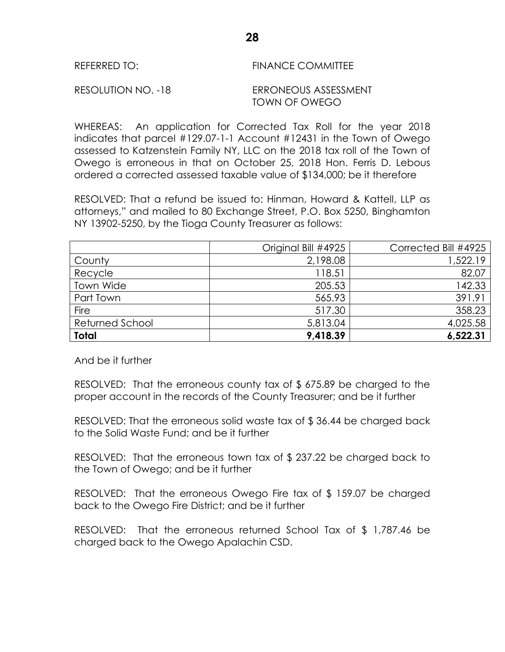| <b>FINANCE COMMITTEE</b><br>REFERRED TO: |
|------------------------------------------|
|------------------------------------------|

WHEREAS: An application for Corrected Tax Roll for the year 2018 indicates that parcel #129.07-1-1 Account #12431 in the Town of Owego assessed to Katzenstein Family NY, LLC on the 2018 tax roll of the Town of Owego is erroneous in that on October 25, 2018 Hon. Ferris D. Lebous ordered a corrected assessed taxable value of \$134,000; be it therefore

RESOLVED: That a refund be issued to: Hinman, Howard & Kattell, LLP as attorneys," and mailed to 80 Exchange Street, P.O. Box 5250, Binghamton NY 13902-5250, by the Tioga County Treasurer as follows:

|                 | Original Bill #4925 | Corrected Bill #4925 |
|-----------------|---------------------|----------------------|
| County          | 2,198.08            | 1,522.19             |
| Recycle         | 118.51              | 82.07                |
| Town Wide       | 205.53              | 142.33               |
| Part Town       | 565.93              | 391.91               |
| Fire            | 517.30              | 358.23               |
| Returned School | 5,813.04            | 4,025.58             |
| <b>Total</b>    | 9,418.39            | 6,522.31             |

And be it further

RESOLVED: That the erroneous county tax of \$ 675.89 be charged to the proper account in the records of the County Treasurer; and be it further

RESOLVED: That the erroneous solid waste tax of \$ 36.44 be charged back to the Solid Waste Fund; and be it further

RESOLVED: That the erroneous town tax of \$ 237.22 be charged back to the Town of Owego; and be it further

RESOLVED: That the erroneous Owego Fire tax of \$ 159.07 be charged back to the Owego Fire District; and be it further

RESOLVED: That the erroneous returned School Tax of \$ 1,787.46 be charged back to the Owego Apalachin CSD.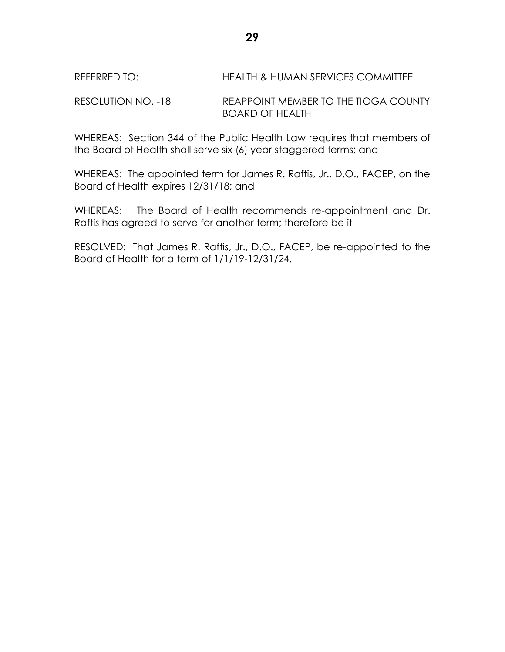# REFERRED TO: HEALTH & HUMAN SERVICES COMMITTEE

RESOLUTION NO. -18 REAPPOINT MEMBER TO THE TIOGA COUNTY BOARD OF HEALTH

WHEREAS: Section 344 of the Public Health Law requires that members of the Board of Health shall serve six (6) year staggered terms; and

WHEREAS: The appointed term for James R. Raftis, Jr., D.O., FACEP, on the Board of Health expires 12/31/18; and

WHEREAS: The Board of Health recommends re-appointment and Dr. Raftis has agreed to serve for another term; therefore be it

RESOLVED: That James R. Raftis, Jr., D.O., FACEP, be re-appointed to the Board of Health for a term of 1/1/19-12/31/24.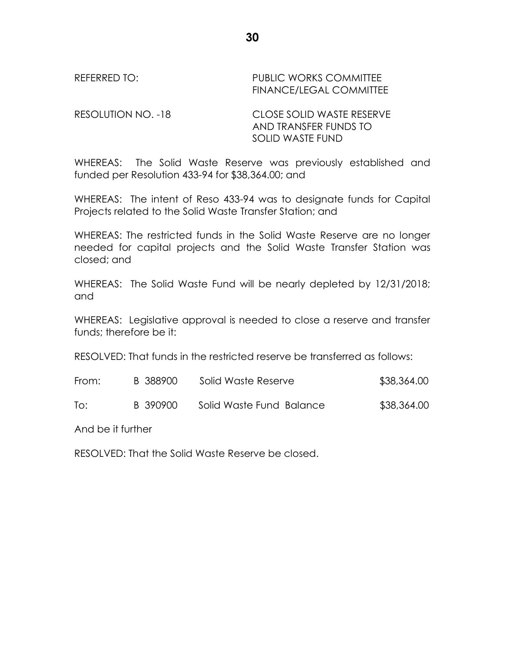REFERRED TO: THE PUBLIC WORKS COMMITTEE FINANCE/LEGAL COMMITTEE

RESOLUTION NO. -18 CLOSE SOLID WASTE RESERVE AND TRANSFER FUNDS TO SOLID WASTE FUND

WHEREAS: The Solid Waste Reserve was previously established and funded per Resolution 433-94 for \$38,364.00; and

WHEREAS: The intent of Reso 433-94 was to designate funds for Capital Projects related to the Solid Waste Transfer Station; and

WHEREAS: The restricted funds in the Solid Waste Reserve are no longer needed for capital projects and the Solid Waste Transfer Station was closed; and

WHEREAS: The Solid Waste Fund will be nearly depleted by 12/31/2018; and

WHEREAS: Legislative approval is needed to close a reserve and transfer funds; therefore be it:

RESOLVED: That funds in the restricted reserve be transferred as follows:

| From: | B 388900 | Solid Waste Reserve      | \$38,364.00 |
|-------|----------|--------------------------|-------------|
| To:   | B 390900 | Solid Waste Fund Balance | \$38,364.00 |

And be it further

RESOLVED: That the Solid Waste Reserve be closed.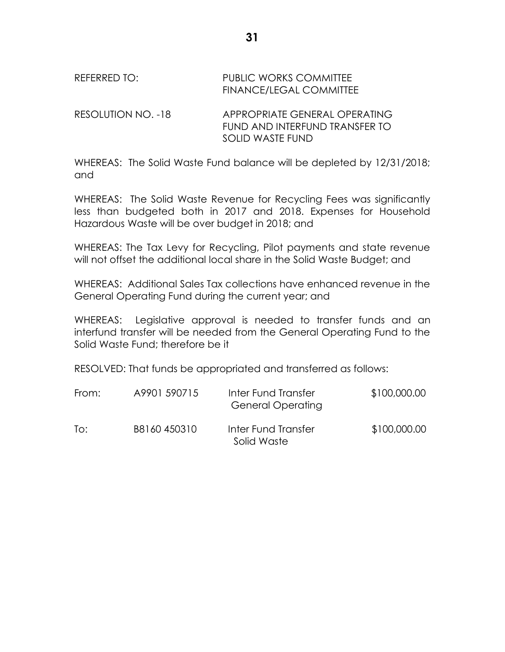# REFERRED TO: PUBLIC WORKS COMMITTEE FINANCE/LEGAL COMMITTEE RESOLUTION NO. -18 APPROPRIATE GENERAL OPERATING FUND AND INTERFUND TRANSFER TO

WHEREAS: The Solid Waste Fund balance will be depleted by 12/31/2018; and

SOLID WASTE FUND

WHEREAS: The Solid Waste Revenue for Recycling Fees was significantly less than budgeted both in 2017 and 2018. Expenses for Household Hazardous Waste will be over budget in 2018; and

WHEREAS: The Tax Levy for Recycling, Pilot payments and state revenue will not offset the additional local share in the Solid Waste Budget; and

WHEREAS: Additional Sales Tax collections have enhanced revenue in the General Operating Fund during the current year; and

WHEREAS: Legislative approval is needed to transfer funds and an interfund transfer will be needed from the General Operating Fund to the Solid Waste Fund; therefore be it

RESOLVED: That funds be appropriated and transferred as follows:

| From: | A9901 590715 | Inter Fund Transfer<br><b>General Operating</b> | \$100,000.00 |
|-------|--------------|-------------------------------------------------|--------------|
| To:   | B8160450310  | Inter Fund Transfer<br>Solid Waste              | \$100,000.00 |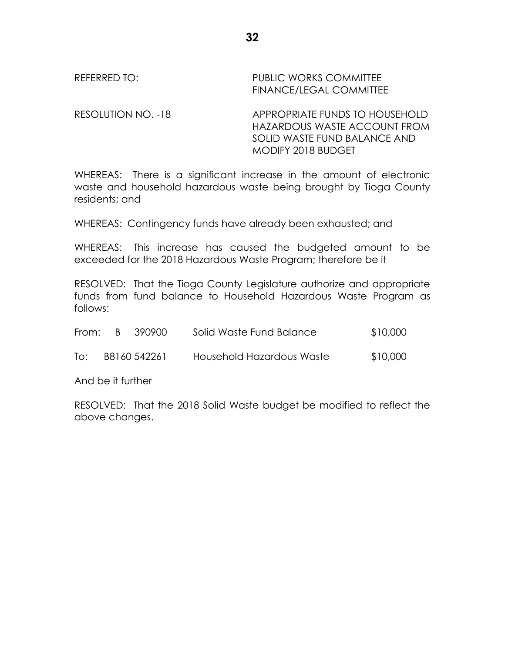# REFERRED TO: PUBLIC WORKS COMMITTEE FINANCE/LEGAL COMMITTEE

RESOLUTION NO. -18 APPROPRIATE FUNDS TO HOUSEHOLD HAZARDOUS WASTE ACCOUNT FROM SOLID WASTE FUND BALANCE AND MODIFY 2018 BUDGET

WHEREAS: There is a significant increase in the amount of electronic waste and household hazardous waste being brought by Tioga County residents; and

WHEREAS: Contingency funds have already been exhausted; and

WHEREAS: This increase has caused the budgeted amount to be exceeded for the 2018 Hazardous Waste Program; therefore be it

RESOLVED: That the Tioga County Legislature authorize and appropriate funds from fund balance to Household Hazardous Waste Program as follows:

| From: B | -390900-     | Solid Waste Fund Balance  | \$10,000 |
|---------|--------------|---------------------------|----------|
| To:     | B8160 542261 | Household Hazardous Waste | \$10,000 |

And be it further

RESOLVED: That the 2018 Solid Waste budget be modified to reflect the above changes.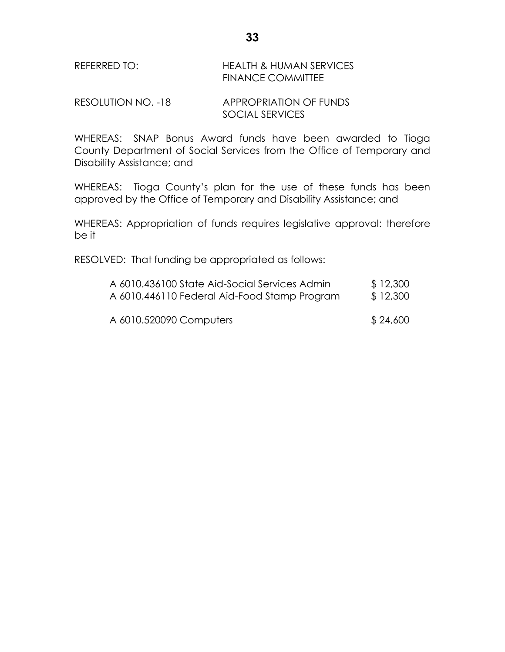# REFERRED TO: HEALTH & HUMAN SERVICES FINANCE COMMITTEE

RESOLUTION NO. -18 APPROPRIATION OF FUNDS SOCIAL SERVICES

WHEREAS: SNAP Bonus Award funds have been awarded to Tioga County Department of Social Services from the Office of Temporary and Disability Assistance; and

WHEREAS: Tioga County's plan for the use of these funds has been approved by the Office of Temporary and Disability Assistance; and

WHEREAS: Appropriation of funds requires legislative approval: therefore be it

RESOLVED: That funding be appropriated as follows:

| A 6010.436100 State Aid-Social Services Admin | \$12,300 |
|-----------------------------------------------|----------|
| A 6010.446110 Federal Aid-Food Stamp Program  | \$12,300 |
| A 6010.520090 Computers                       | \$24,600 |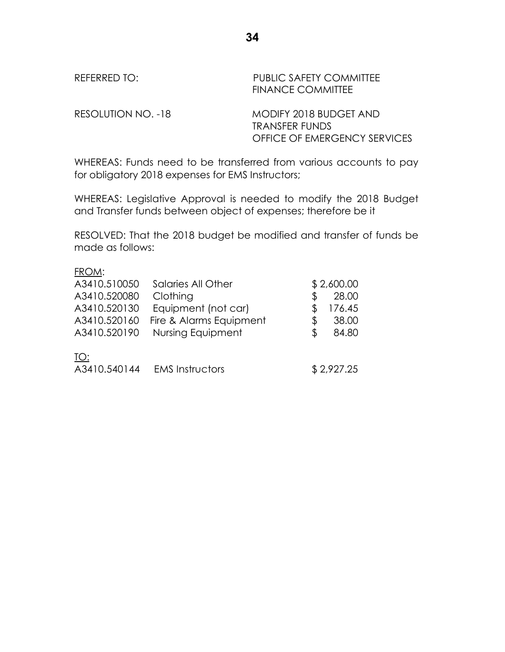| REFERRED TO: I     | <b>PUBLIC SAFETY COMMITTEE</b><br><b>FINANCE COMMITTEE</b> |
|--------------------|------------------------------------------------------------|
| RESOLUTION NO. -18 | MODIFY 2018 BUDGET AND<br><b>TRANSFER FUNDS</b>            |

WHEREAS: Funds need to be transferred from various accounts to pay for obligatory 2018 expenses for EMS Instructors;

OFFICE OF EMERGENCY SERVICES

WHEREAS: Legislative Approval is needed to modify the 2018 Budget and Transfer funds between object of expenses; therefore be it

RESOLVED: That the 2018 budget be modified and transfer of funds be made as follows:

#### FROM:

| A3410.510050 | Salaries All Other      |   | \$2,600.00 |
|--------------|-------------------------|---|------------|
| A3410.520080 | Clothing                |   | 28.00      |
| A3410.520130 | Equipment (not car)     |   | 176.45     |
| A3410.520160 | Fire & Alarms Equipment | S | 38.00      |
| A3410.520190 | Nursing Equipment       |   | 84.80      |
| TO:          |                         |   |            |
| A3410.540144 | <b>EMS Instructors</b>  |   | \$2,927.25 |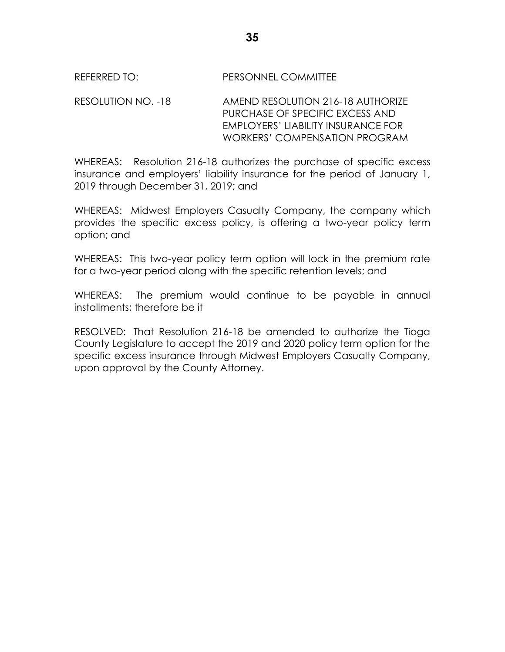## REFERRED TO: PERSONNEL COMMITTEE

### RESOLUTION NO. -18 AMEND RESOLUTION 216-18 AUTHORIZE PURCHASE OF SPECIFIC EXCESS AND EMPLOYERS' LIABILITY INSURANCE FOR WORKERS' COMPENSATION PROGRAM

WHEREAS: Resolution 216-18 authorizes the purchase of specific excess insurance and employers' liability insurance for the period of January 1, 2019 through December 31, 2019; and

WHEREAS: Midwest Employers Casualty Company, the company which provides the specific excess policy, is offering a two-year policy term option; and

WHEREAS: This two-year policy term option will lock in the premium rate for a two-year period along with the specific retention levels; and

WHEREAS: The premium would continue to be payable in annual installments; therefore be it

RESOLVED: That Resolution 216-18 be amended to authorize the Tioga County Legislature to accept the 2019 and 2020 policy term option for the specific excess insurance through Midwest Employers Casualty Company, upon approval by the County Attorney.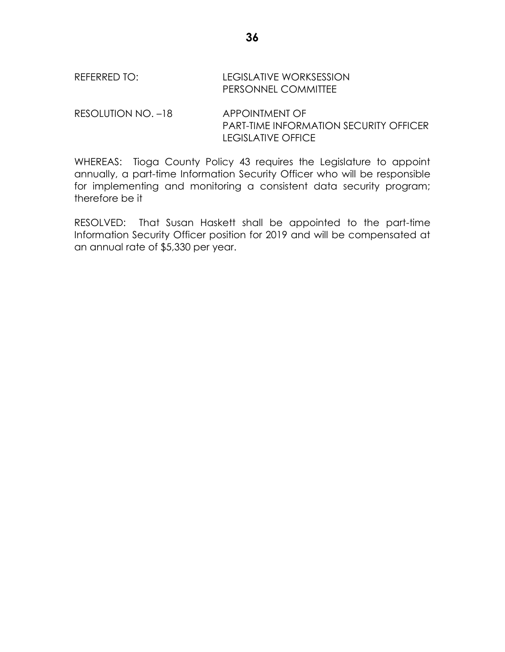RESOLUTION NO. -18 APPOINTMENT OF PART-TIME INFORMATION SECURITY OFFICER LEGISLATIVE OFFICE

WHEREAS: Tioga County Policy 43 requires the Legislature to appoint annually, a part-time Information Security Officer who will be responsible for implementing and monitoring a consistent data security program; therefore be it

RESOLVED: That Susan Haskett shall be appointed to the part-time Information Security Officer position for 2019 and will be compensated at an annual rate of \$5,330 per year.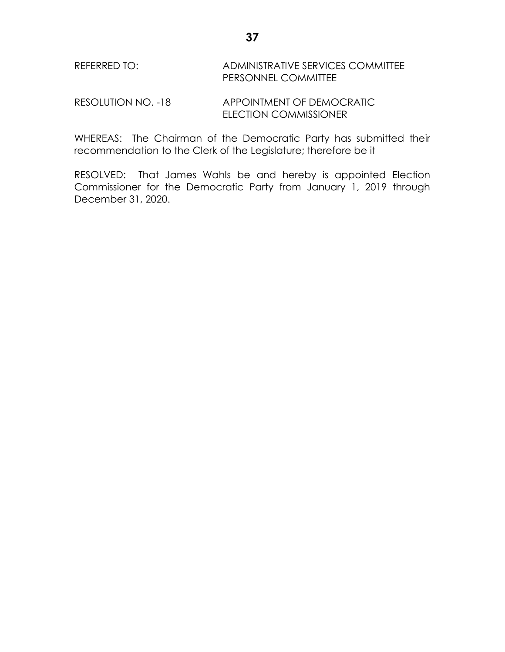# REFERRED TO: ADMINISTRATIVE SERVICES COMMITTEE PERSONNEL COMMITTEE

RESOLUTION NO. -18 APPOINTMENT OF DEMOCRATIC ELECTION COMMISSIONER

WHEREAS: The Chairman of the Democratic Party has submitted their recommendation to the Clerk of the Legislature; therefore be it

RESOLVED: That James Wahls be and hereby is appointed Election Commissioner for the Democratic Party from January 1, 2019 through December 31, 2020.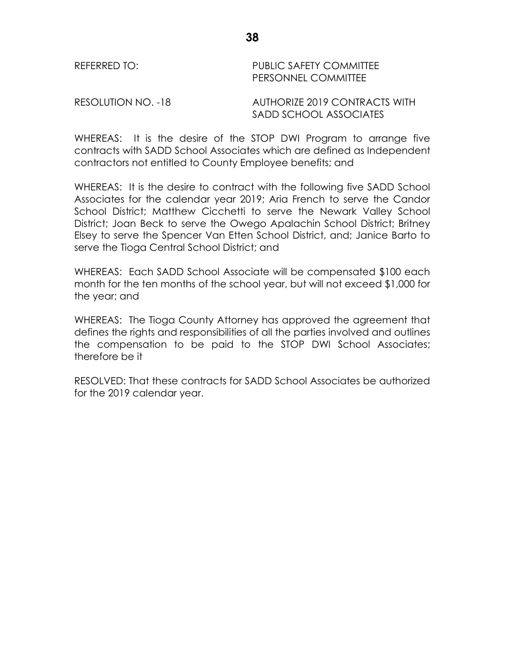### REFERRED TO: PUBLIC SAFETY COMMITTEE PERSONNEL COMMITTEE

RESOLUTION NO. -18 AUTHORIZE 2019 CONTRACTS WITH SADD SCHOOL ASSOCIATES

WHEREAS: It is the desire of the STOP DWI Program to arrange five contracts with SADD School Associates which are defined as Independent contractors not entitled to County Employee benefits; and

WHEREAS: It is the desire to contract with the following five SADD School Associates for the calendar year 2019; Aria French to serve the Candor School District; Matthew Cicchetti to serve the Newark Valley School District; Joan Beck to serve the Owego Apalachin School District; Britney Elsey to serve the Spencer Van Etten School District, and; Janice Barto to serve the Tioga Central School District; and

WHEREAS: Each SADD School Associate will be compensated \$100 each month for the ten months of the school year, but will not exceed \$1,000 for the year; and

WHEREAS: The Tioga County Attorney has approved the agreement that defines the rights and responsibilities of all the parties involved and outlines the compensation to be paid to the STOP DWI School Associates; therefore be it

RESOLVED: That these contracts for SADD School Associates be authorized for the 2019 calendar year.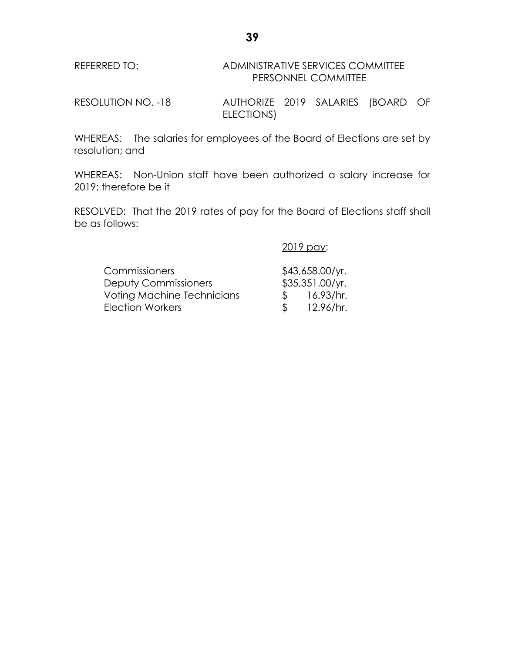# REFERRED TO: ADMINISTRATIVE SERVICES COMMITTEE PERSONNEL COMMITTEE

RESOLUTION NO. -18 AUTHORIZE 2019 SALARIES (BOARD OF ELECTIONS)

WHEREAS: The salaries for employees of the Board of Elections are set by resolution; and

WHEREAS: Non-Union staff have been authorized a salary increase for 2019; therefore be it

RESOLVED: That the 2019 rates of pay for the Board of Elections staff shall be as follows:

2019 pay:

| <b>Commissioners</b>              |               | $$43,658.00$ /yr. |
|-----------------------------------|---------------|-------------------|
| <b>Deputy Commissioners</b>       |               | \$35,351.00/yr.   |
| <b>Voting Machine Technicians</b> | $\mathcal{R}$ | 16.93/hr.         |
| Election Workers                  |               | 12.96/hr.         |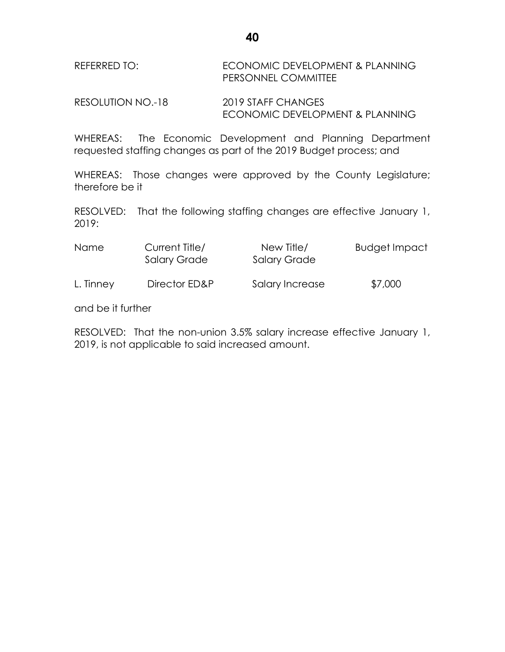# REFERRED TO: ECONOMIC DEVELOPMENT & PLANNING PERSONNEL COMMITTEE

RESOLUTION NO.-18 2019 STAFF CHANGES ECONOMIC DEVELOPMENT & PLANNING

WHEREAS: The Economic Development and Planning Department requested staffing changes as part of the 2019 Budget process; and

WHEREAS: Those changes were approved by the County Legislature; therefore be it

RESOLVED: That the following staffing changes are effective January 1, 2019:

| <b>Name</b> | Current Title/<br><b>Salary Grade</b> | New Title/<br><b>Salary Grade</b> | <b>Budget Impact</b> |
|-------------|---------------------------------------|-----------------------------------|----------------------|
| L. Tinney   | Director ED&P                         | Salary Increase                   | \$7,000              |

and be it further

RESOLVED: That the non-union 3.5% salary increase effective January 1, 2019, is not applicable to said increased amount.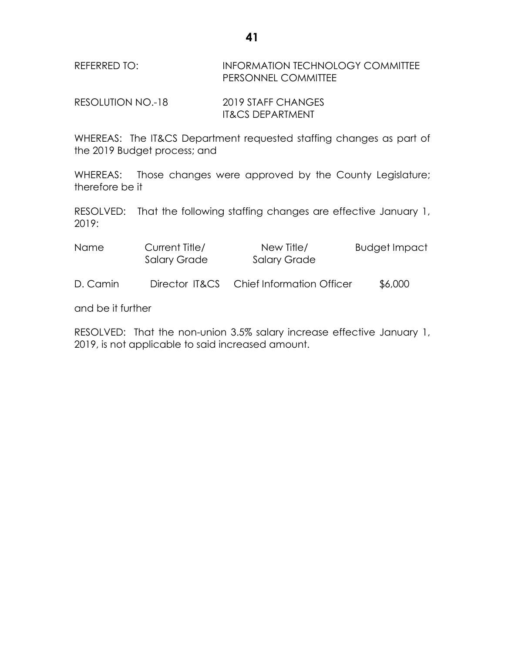# REFERRED TO: **INFORMATION TECHNOLOGY COMMITTEE** PERSONNEL COMMITTEE

RESOLUTION NO.-18 2019 STAFF CHANGES IT&CS DEPARTMENT

WHEREAS: The IT&CS Department requested staffing changes as part of the 2019 Budget process; and

WHEREAS: Those changes were approved by the County Legislature; therefore be it

RESOLVED: That the following staffing changes are effective January 1, 2019:

| <b>Name</b> | Current Title/<br><b>Salary Grade</b> | New Title/<br><b>Salary Grade</b> | <b>Budget Impact</b> |
|-------------|---------------------------------------|-----------------------------------|----------------------|
| D. Camin    | Director IT&CS                        | <b>Chief Information Officer</b>  | \$6,000              |

and be it further

RESOLVED: That the non-union 3.5% salary increase effective January 1, 2019, is not applicable to said increased amount.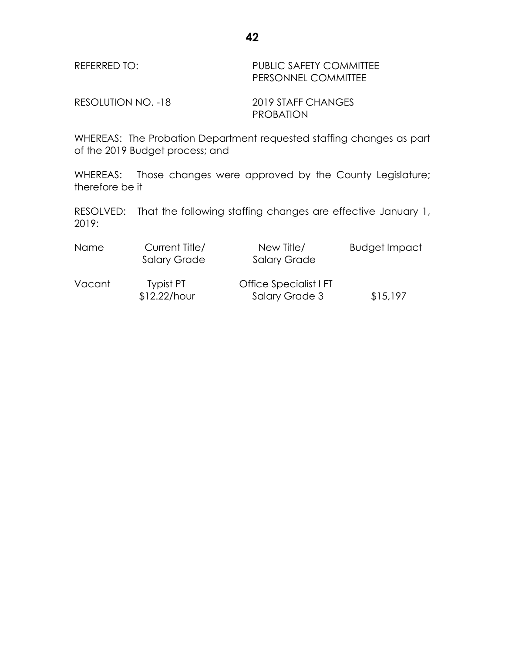### REFERRED TO: PUBLIC SAFETY COMMITTEE PERSONNEL COMMITTEE

RESOLUTION NO. -18 2019 STAFF CHANGES PROBATION

WHEREAS: The Probation Department requested staffing changes as part of the 2019 Budget process; and

WHEREAS: Those changes were approved by the County Legislature; therefore be it

| <b>Name</b> | Current Title/<br><b>Salary Grade</b> | New Title/<br><b>Salary Grade</b>        | <b>Budget Impact</b> |
|-------------|---------------------------------------|------------------------------------------|----------------------|
| Vacant      | Typist PT<br>$$12.22/h$ our           | Office Specialist I FT<br>Salary Grade 3 | \$15,197             |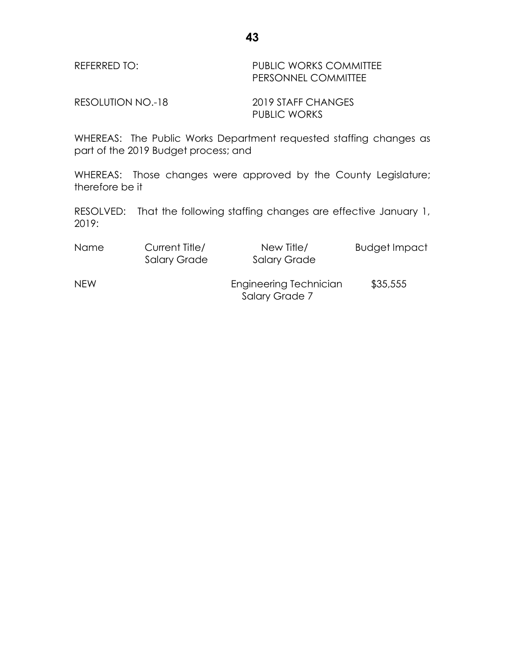### REFERRED TO: PUBLIC WORKS COMMITTEE PERSONNEL COMMITTEE

RESOLUTION NO.-18 2019 STAFF CHANGES PUBLIC WORKS

WHEREAS: The Public Works Department requested staffing changes as part of the 2019 Budget process; and

WHEREAS: Those changes were approved by the County Legislature; therefore be it

| <b>Name</b> | Current Title/<br><b>Salary Grade</b> | New Title/<br><b>Salary Grade</b>        | <b>Budget Impact</b> |
|-------------|---------------------------------------|------------------------------------------|----------------------|
| <b>NEW</b>  |                                       | Engineering Technician<br>Salary Grade 7 | \$35,555             |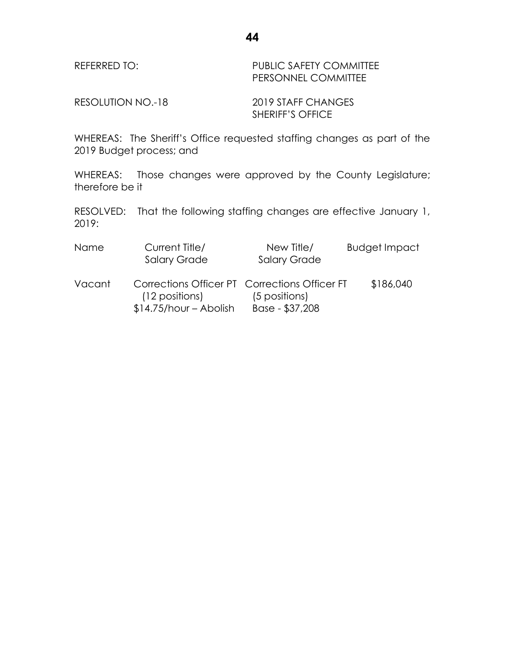| REFERRED TO: | <b>PUBLIC SAFETY COMMITTEE</b> |
|--------------|--------------------------------|
|              | <b>PERSONNEL COMMITTEE</b>     |

RESOLUTION NO.-18 2019 STAFF CHANGES

SHERIFF'S OFFICE

WHEREAS: The Sheriff's Office requested staffing changes as part of the 2019 Budget process; and

WHEREAS: Those changes were approved by the County Legislature; therefore be it

| Name   | Current Title/<br><b>Salary Grade</b>                                                      | New Title/<br><b>Salary Grade</b> | <b>Budget Impact</b> |
|--------|--------------------------------------------------------------------------------------------|-----------------------------------|----------------------|
| Vacant | Corrections Officer PT Corrections Officer FT<br>(12 positions)<br>$$14.75/hour - Abolish$ | (5 positions)<br>Base - \$37,208  | \$186,040            |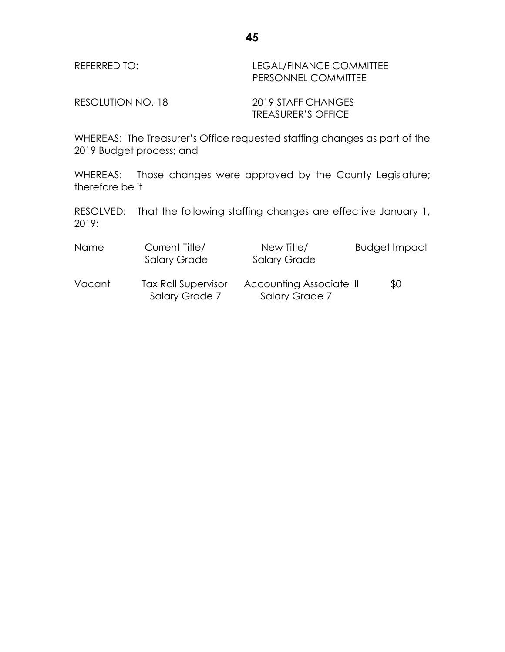| REFERRED TO: | LEGAL/FINANCE COMMITTEE    |
|--------------|----------------------------|
|              | <b>PERSONNEL COMMITTEE</b> |

RESOLUTION NO.-18 2019 STAFF CHANGES

TREASURER'S OFFICE

WHEREAS: The Treasurer's Office requested staffing changes as part of the 2019 Budget process; and

WHEREAS: Those changes were approved by the County Legislature; therefore be it

| Name   | Current Title/<br><b>Salary Grade</b>        | New Title/<br><b>Salary Grade</b>                 | <b>Budget Impact</b> |
|--------|----------------------------------------------|---------------------------------------------------|----------------------|
| Vacant | <b>Tax Roll Supervisor</b><br>Salary Grade 7 | <b>Accounting Associate III</b><br>Salary Grade 7 | \$0                  |